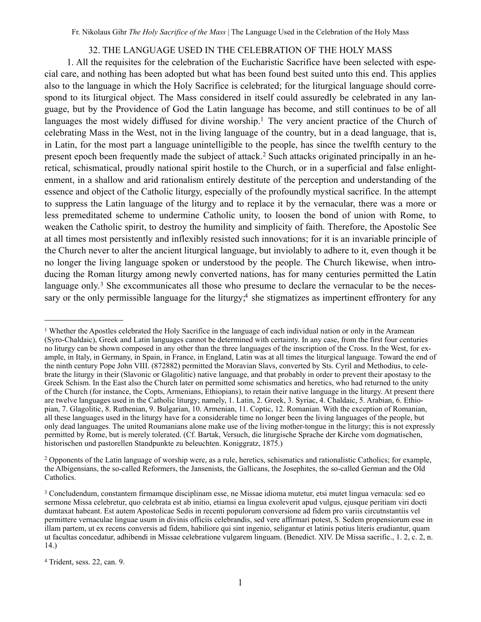Fr. Nikolaus Gihr *The Holy Sacrifice of the Mass* | The Language Used in the Celebration of the Holy Mass

## 32. THE LANGUAGE USED IN THE CELEBRATION OF THE HOLY MASS

 1. All the requisites for the celebration of the Eucharistic Sacrifice have been selected with especial care, and nothing has been adopted but what has been found best suited unto this end. This applies also to the language in which the Holy Sacrifice is celebrated; for the liturgical language should correspond to its liturgical object. The Mass considered in itself could assuredly be celebrated in any language, but by the Providence of God the Latin language has become, and still continues to be of all languages the most widely diffused for divine worship.<sup>1</sup> The very ancient practice of the Church of celebrating Mass in the West, not in the living language of the country, but in a dead language, that is, in Latin, for the most part a language unintelligible to the people, has since the twelfth century to the present epoch been frequently made the subject of attack.[2](#page-0-1) Such attacks originated principally in an heretical, schismatical, proudly national spirit hostile to the Church, or in a superficial and false enlightenment, in a shallow and arid rationalism entirely destitute of the perception and understanding of the essence and object of the Catholic liturgy, especially of the profoundly mystical sacrifice. In the attempt to suppress the Latin language of the liturgy and to replace it by the vernacular, there was a more or less premeditated scheme to undermine Catholic unity, to loosen the bond of union with Rome, to weaken the Catholic spirit, to destroy the humility and simplicity of faith. Therefore, the Apostolic See at all times most persistently and inflexibly resisted such innovations; for it is an invariable principle of the Church never to alter the ancient liturgical language, but inviolably to adhere to it, even though it be no longer the living language spoken or understood by the people. The Church likewise, when introducing the Roman liturgy among newly converted nations, has for many centuries permitted the Latin language only.<sup>3</sup> She excommunicates all those who presume to declare the vernacular to be the necessary or the only permissible language for the liturgy;<sup>4</sup> she stigmatizes as impertinent effrontery for any

<span id="page-0-0"></span><sup>&</sup>lt;sup>1</sup> Whether the Apostles celebrated the Holy Sacrifice in the language of each individual nation or only in the Aramean (Syro-Chaldaic), Greek and Latin languages cannot be determined with certainty. In any case, from the first four centuries no liturgy can be shown composed in any other than the three languages of the inscription of the Cross. In the West, for example, in Italy, in Germany, in Spain, in France, in England, Latin was at all times the liturgical language. Toward the end of the ninth century Pope John VIII. (872882) permitted the Moravian Slavs, converted by Sts. Cyril and Methodius, to celebrate the liturgy in their (Slavonic or Glagolitic) native language, and that probably in order to prevent their apostasy to the Greek Schism. In the East also the Church later on permitted some schismatics and heretics, who had returned to the unity of the Church (for instance, the Copts, Armenians, Ethiopians), to retain their native language in the liturgy. At present there are twelve languages used in the Catholic liturgy; namely, 1. Latin, 2. Greek, 3. Syriac, 4. Chaldaic, 5. Arabian, 6. Ethiopian, 7. Glagolitic, 8. Ruthenian, 9. Bulgarian, 10. Armenian, 11. Coptic, 12. Romanian. With the exception of Romanian, all these languages used in the liturgy have for a considerable time no longer been the living languages of the people, but only dead languages. The united Roumanians alone make use of the living mother-tongue in the liturgy; this is not expressly permitted by Rome, but is merely tolerated. (Cf. Bartak, Versuch, die liturgische Sprache der Kirche vom dogmatischen, historischen und pastorellen Standpunkte zu beleuchten. Koniggratz, 1875.)

<span id="page-0-1"></span><sup>2</sup> Opponents of the Latin language of worship were, as a rule, heretics, schismatics and rationalistic Catholics; for example, the Albigensians, the so-called Reformers, the Jansenists, the Gallicans, the Josephites, the so-called German and the Old Catholics.

<span id="page-0-2"></span><sup>3</sup> Concludendum, constantem firmamque disciplinam esse, ne Missae idioma mutetur, etsi mutet lingua vernacula: sed eo sermone Missa celebretur, quo celebrata est ab initio, etiamsi ea lingua exoleverit apud vulgus, ejusque peritiam viri docti dumtaxat habeant. Est autem Apostolicae Sedis in recenti populorum conversione ad fidem pro variis circutnstantiis vel permittere vernaculae linguae usum in divinis officiis celebrandis, sed vere affirmari potest, S. Sedem propensiorum esse in illam partem, ut ex recens conversis ad fidem, habiliore qui sint ingenio, seligantur et latinis potius literis erudiantur, quam ut facultas concedatur, adhibendi in Missae celebratione vulgarem linguam. (Benedict. XIV. De Missa sacrific., 1. 2, c. 2, n. 14.)

<span id="page-0-3"></span><sup>4</sup> Trident, sess. 22, can. 9.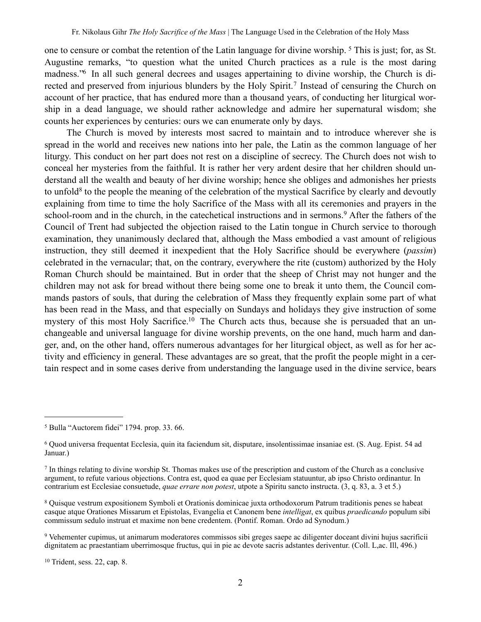one to censure or combat the retention of the Latin language for divine worship. [5](#page-1-0) This is just; for, as St. Augustine remarks, "to question what the united Church practices as a rule is the most daring madness.["6](#page-1-1) In all such general decrees and usages appertaining to divine worship, the Church is directed and preserved from injurious blunders by the Holy Spirit.<sup>7</sup> Instead of censuring the Church on account of her practice, that has endured more than a thousand years, of conducting her liturgical worship in a dead language, we should rather acknowledge and admire her supernatural wisdom; she counts her experiences by centuries: ours we can enumerate only by days.

 The Church is moved by interests most sacred to maintain and to introduce wherever she is spread in the world and receives new nations into her pale, the Latin as the common language of her liturgy. This conduct on her part does not rest on a discipline of secrecy. The Church does not wish to conceal her mysteries from the faithful. It is rather her very ardent desire that her children should understand all the wealth and beauty of her divine worship; hence she obliges and admonishes her priests to unfold[8](#page-1-3) to the people the meaning of the celebration of the mystical Sacrifice by clearly and devoutly explaining from time to time the holy Sacrifice of the Mass with all its ceremonies and prayers in the school-room and in the church, in the catechetical instructions and in sermons.<sup>9</sup> After the fathers of the Council of Trent had subjected the objection raised to the Latin tongue in Church service to thorough examination, they unanimously declared that, although the Mass embodied a vast amount of religious instruction, they still deemed it inexpedient that the Holy Sacrifice should be everywhere (*passim*) celebrated in the vernacular; that, on the contrary, everywhere the rite (custom) authorized by the Holy Roman Church should be maintained. But in order that the sheep of Christ may not hunger and the children may not ask for bread without there being some one to break it unto them, the Council commands pastors of souls, that during the celebration of Mass they frequently explain some part of what has been read in the Mass, and that especially on Sundays and holidays they give instruction of some mystery of this most Holy Sacrifice.<sup>10</sup> The Church acts thus, because she is persuaded that an unchangeable and universal language for divine worship prevents, on the one hand, much harm and danger, and, on the other hand, offers numerous advantages for her liturgical object, as well as for her activity and efficiency in general. These advantages are so great, that the profit the people might in a certain respect and in some cases derive from understanding the language used in the divine service, bears

<span id="page-1-0"></span><sup>5</sup> Bulla "Auctorem fidei" 1794. prop. 33. 66.

<span id="page-1-1"></span><sup>6</sup> Quod universa frequentat Ecclesia, quin ita faciendum sit, disputare, insolentissimae insaniae est. (S. Aug. Epist. 54 ad Januar.)

<span id="page-1-2"></span><sup>7</sup> In things relating to divine worship St. Thomas makes use of the prescription and custom of the Church as a conclusive argument, to refute various objections. Contra est, quod ea quae per Ecclesiam statuuntur, ab ipso Christo ordinantur. In contrarium est Ecclesiae consuetude, *quae errare non potest*, utpote a Spiritu sancto instructa. (3, q. 83, a. 3 et 5.)

<span id="page-1-3"></span><sup>8</sup> Quisque vestrum expositionem Symboli et Orationis dominicae juxta orthodoxorum Patrum traditionis penes se habeat casque atque Orationes Missarum et Epistolas, Evangelia et Canonem bene *intelligat*, ex quibus *praedicando* populum sibi commissum sedulo instruat et maxime non bene credentem. (Pontif. Roman. Ordo ad Synodum.)

<span id="page-1-4"></span><sup>9</sup> Vehementer cupimus, ut animarum moderatores commissos sibi greges saepe ac diligenter doceant divini hujus sacrificii dignitatem ac praestantiam uberrimosque fructus, qui in pie ac devote sacris adstantes deriventur. (Coll. L,ac. Ill, 496.)

<span id="page-1-5"></span><sup>10</sup> Trident, sess. 22, cap. 8.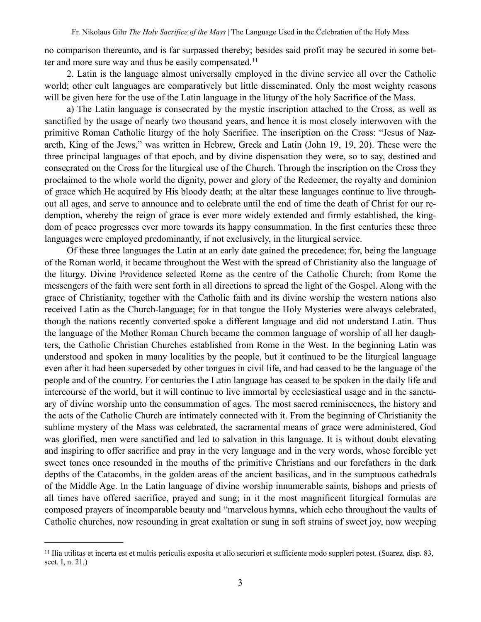no comparison thereunto, and is far surpassed thereby; besides said profit may be secured in some bet-ter and more sure way and thus be easily compensated.<sup>[11](#page-2-0)</sup>

 2. Latin is the language almost universally employed in the divine service all over the Catholic world; other cult languages are comparatively but little disseminated. Only the most weighty reasons will be given here for the use of the Latin language in the liturgy of the holy Sacrifice of the Mass.

 a) The Latin language is consecrated by the mystic inscription attached to the Cross, as well as sanctified by the usage of nearly two thousand years, and hence it is most closely interwoven with the primitive Roman Catholic liturgy of the holy Sacrifice. The inscription on the Cross: "Jesus of Nazareth, King of the Jews," was written in Hebrew, Greek and Latin (John 19, 19, 20). These were the three principal languages of that epoch, and by divine dispensation they were, so to say, destined and consecrated on the Cross for the liturgical use of the Church. Through the inscription on the Cross they proclaimed to the whole world the dignity, power and glory of the Redeemer, the royalty and dominion of grace which He acquired by His bloody death; at the altar these languages continue to live throughout all ages, and serve to announce and to celebrate until the end of time the death of Christ for our redemption, whereby the reign of grace is ever more widely extended and firmly established, the kingdom of peace progresses ever more towards its happy consummation. In the first centuries these three languages were employed predominantly, if not exclusively, in the liturgical service.

 Of these three languages the Latin at an early date gained the precedence; for, being the language of the Roman world, it became throughout the West with the spread of Christianity also the language of the liturgy. Divine Providence selected Rome as the centre of the Catholic Church; from Rome the messengers of the faith were sent forth in all directions to spread the light of the Gospel. Along with the grace of Christianity, together with the Catholic faith and its divine worship the western nations also received Latin as the Church-language; for in that tongue the Holy Mysteries were always celebrated, though the nations recently converted spoke a different language and did not understand Latin. Thus the language of the Mother Roman Church became the common language of worship of all her daughters, the Catholic Christian Churches established from Rome in the West. In the beginning Latin was understood and spoken in many localities by the people, but it continued to be the liturgical language even after it had been superseded by other tongues in civil life, and had ceased to be the language of the people and of the country. For centuries the Latin language has ceased to be spoken in the daily life and intercourse of the world, but it will continue to live immortal by ecclesiastical usage and in the sanctuary of divine worship unto the consummation of ages. The most sacred reminiscences, the history and the acts of the Catholic Church are intimately connected with it. From the beginning of Christianity the sublime mystery of the Mass was celebrated, the sacramental means of grace were administered, God was glorified, men were sanctified and led to salvation in this language. It is without doubt elevating and inspiring to offer sacrifice and pray in the very language and in the very words, whose forcible yet sweet tones once resounded in the mouths of the primitive Christians and our forefathers in the dark depths of the Catacombs, in the golden areas of the ancient basilicas, and in the sumptuous cathedrals of the Middle Age. In the Latin language of divine worship innumerable saints, bishops and priests of all times have offered sacrifice, prayed and sung; in it the most magnificent liturgical formulas are composed prayers of incomparable beauty and "marvelous hymns, which echo throughout the vaults of Catholic churches, now resounding in great exaltation or sung in soft strains of sweet joy, now weeping

<span id="page-2-0"></span><sup>11</sup> Ilia utilitas et incerta est et multis periculis exposita et alio securiori et sufficiente modo suppleri potest. (Suarez, disp. 83, sect. I, n. 21.)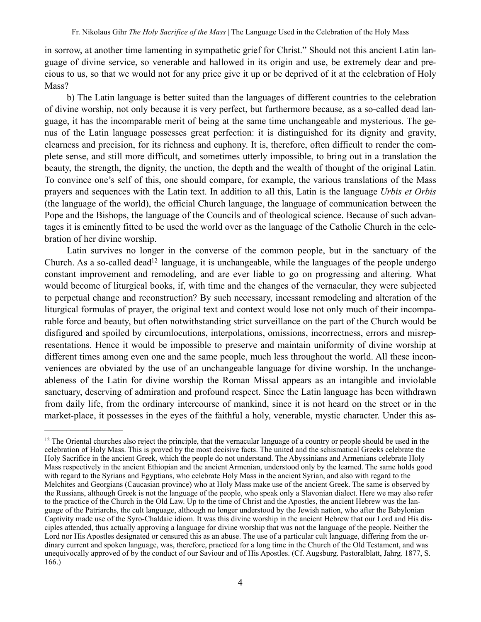in sorrow, at another time lamenting in sympathetic grief for Christ." Should not this ancient Latin language of divine service, so venerable and hallowed in its origin and use, be extremely dear and precious to us, so that we would not for any price give it up or be deprived of it at the celebration of Holy Mass?

 b) The Latin language is better suited than the languages of different countries to the celebration of divine worship, not only because it is very perfect, but furthermore because, as a so-called dead language, it has the incomparable merit of being at the same time unchangeable and mysterious. The genus of the Latin language possesses great perfection: it is distinguished for its dignity and gravity, clearness and precision, for its richness and euphony. It is, therefore, often difficult to render the complete sense, and still more difficult, and sometimes utterly impossible, to bring out in a translation the beauty, the strength, the dignity, the unction, the depth and the wealth of thought of the original Latin. To convince one's self of this, one should compare, for example, the various translations of the Mass prayers and sequences with the Latin text. In addition to all this, Latin is the language *Urbis et Orbis* (the language of the world), the official Church language, the language of communication between the Pope and the Bishops, the language of the Councils and of theological science. Because of such advantages it is eminently fitted to be used the world over as the language of the Catholic Church in the celebration of her divine worship.

 Latin survives no longer in the converse of the common people, but in the sanctuary of the Church. As a so-called dead<sup>12</sup> language, it is unchangeable, while the languages of the people undergo constant improvement and remodeling, and are ever liable to go on progressing and altering. What would become of liturgical books, if, with time and the changes of the vernacular, they were subjected to perpetual change and reconstruction? By such necessary, incessant remodeling and alteration of the liturgical formulas of prayer, the original text and context would lose not only much of their incomparable force and beauty, but often notwithstanding strict surveillance on the part of the Church would be disfigured and spoiled by circumlocutions, interpolations, omissions, incorrectness, errors and misrepresentations. Hence it would be impossible to preserve and maintain uniformity of divine worship at different times among even one and the same people, much less throughout the world. All these inconveniences are obviated by the use of an unchangeable language for divine worship. In the unchangeableness of the Latin for divine worship the Roman Missal appears as an intangible and inviolable sanctuary, deserving of admiration and profound respect. Since the Latin language has been withdrawn from daily life, from the ordinary intercourse of mankind, since it is not heard on the street or in the market-place, it possesses in the eyes of the faithful a holy, venerable, mystic character. Under this as-

<span id="page-3-0"></span><sup>&</sup>lt;sup>12</sup> The Oriental churches also reject the principle, that the vernacular language of a country or people should be used in the celebration of Holy Mass. This is proved by the most decisive facts. The united and the schismatical Greeks celebrate the Holy Sacrifice in the ancient Greek, which the people do not understand. The Abyssinians and Armenians celebrate Holy Mass respectively in the ancient Ethiopian and the ancient Armenian, understood only by the learned. The same holds good with regard to the Syrians and Egyptians, who celebrate Holy Mass in the ancient Syrian, and also with regard to the Melchites and Georgians (Caucasian province) who at Holy Mass make use of the ancient Greek. The same is observed by the Russians, although Greek is not the language of the people, who speak only a Slavonian dialect. Here we may also refer to the practice of the Church in the Old Law. Up to the time of Christ and the Apostles, the ancient Hebrew was the language of the Patriarchs, the cult language, although no longer understood by the Jewish nation, who after the Babylonian Captivity made use of the Syro-Chaldaic idiom. It was this divine worship in the ancient Hebrew that our Lord and His disciples attended, thus actually approving a language for divine worship that was not the language of the people. Neither the Lord nor His Apostles designated or censured this as an abuse. The use of a particular cult language, differing from the ordinary current and spoken language, was, therefore, practiced for a long time in the Church of the Old Testament, and was unequivocally approved of by the conduct of our Saviour and of His Apostles. (Cf. Augsburg. Pastoralblatt, Jahrg. 1877, S. 166.)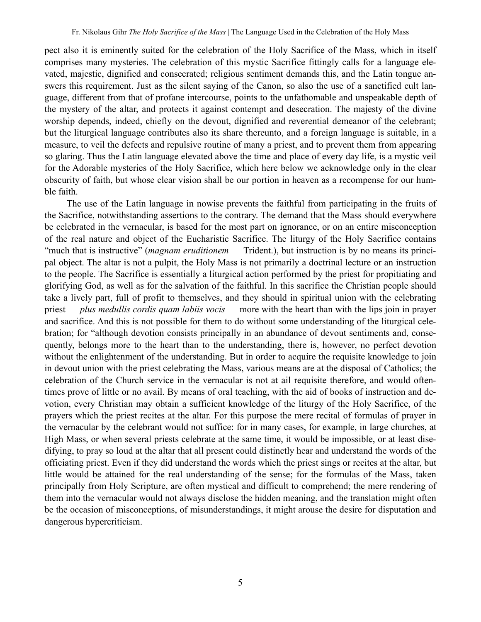pect also it is eminently suited for the celebration of the Holy Sacrifice of the Mass, which in itself comprises many mysteries. The celebration of this mystic Sacrifice fittingly calls for a language elevated, majestic, dignified and consecrated; religious sentiment demands this, and the Latin tongue answers this requirement. Just as the silent saying of the Canon, so also the use of a sanctified cult language, different from that of profane intercourse, points to the unfathomable and unspeakable depth of the mystery of the altar, and protects it against contempt and desecration. The majesty of the divine worship depends, indeed, chiefly on the devout, dignified and reverential demeanor of the celebrant; but the liturgical language contributes also its share thereunto, and a foreign language is suitable, in a measure, to veil the defects and repulsive routine of many a priest, and to prevent them from appearing so glaring. Thus the Latin language elevated above the time and place of every day life, is a mystic veil for the Adorable mysteries of the Holy Sacrifice, which here below we acknowledge only in the clear obscurity of faith, but whose clear vision shall be our portion in heaven as a recompense for our humble faith.

 The use of the Latin language in nowise prevents the faithful from participating in the fruits of the Sacrifice, notwithstanding assertions to the contrary. The demand that the Mass should everywhere be celebrated in the vernacular, is based for the most part on ignorance, or on an entire misconception of the real nature and object of the Eucharistic Sacrifice. The liturgy of the Holy Sacrifice contains "much that is instructive" (*magnam eruditionem* — Trident.), but instruction is by no means its principal object. The altar is not a pulpit, the Holy Mass is not primarily a doctrinal lecture or an instruction to the people. The Sacrifice is essentially a liturgical action performed by the priest for propitiating and glorifying God, as well as for the salvation of the faithful. In this sacrifice the Christian people should take a lively part, full of profit to themselves, and they should in spiritual union with the celebrating priest — *plus medullis cordis quam labiis vocis* — more with the heart than with the lips join in prayer and sacrifice. And this is not possible for them to do without some understanding of the liturgical celebration; for "although devotion consists principally in an abundance of devout sentiments and, consequently, belongs more to the heart than to the understanding, there is, however, no perfect devotion without the enlightenment of the understanding. But in order to acquire the requisite knowledge to join in devout union with the priest celebrating the Mass, various means are at the disposal of Catholics; the celebration of the Church service in the vernacular is not at ail requisite therefore, and would oftentimes prove of little or no avail. By means of oral teaching, with the aid of books of instruction and devotion, every Christian may obtain a sufficient knowledge of the liturgy of the Holy Sacrifice, of the prayers which the priest recites at the altar. For this purpose the mere recital of formulas of prayer in the vernacular by the celebrant would not suffice: for in many cases, for example, in large churches, at High Mass, or when several priests celebrate at the same time, it would be impossible, or at least disedifying, to pray so loud at the altar that all present could distinctly hear and understand the words of the officiating priest. Even if they did understand the words which the priest sings or recites at the altar, but little would be attained for the real understanding of the sense; for the formulas of the Mass, taken principally from Holy Scripture, are often mystical and difficult to comprehend; the mere rendering of them into the vernacular would not always disclose the hidden meaning, and the translation might often be the occasion of misconceptions, of misunderstandings, it might arouse the desire for disputation and dangerous hypercriticism.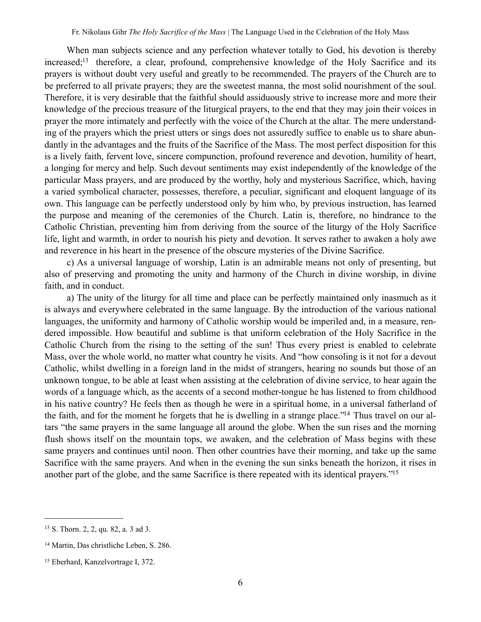When man subjects science and any perfection whatever totally to God, his devotion is thereby increased;<sup>13</sup> therefore, a clear, profound, comprehensive knowledge of the Holy Sacrifice and its prayers is without doubt very useful and greatly to be recommended. The prayers of the Church are to be preferred to all private prayers; they are the sweetest manna, the most solid nourishment of the soul. Therefore, it is very desirable that the faithful should assiduously strive to increase more and more their knowledge of the precious treasure of the liturgical prayers, to the end that they may join their voices in prayer the more intimately and perfectly with the voice of the Church at the altar. The mere understanding of the prayers which the priest utters or sings does not assuredly suffice to enable us to share abundantly in the advantages and the fruits of the Sacrifice of the Mass. The most perfect disposition for this is a lively faith, fervent love, sincere compunction, profound reverence and devotion, humility of heart, a longing for mercy and help. Such devout sentiments may exist independently of the knowledge of the particular Mass prayers, and are produced by the worthy, holy and mysterious Sacrifice, which, having a varied symbolical character, possesses, therefore, a peculiar, significant and eloquent language of its own. This language can be perfectly understood only by him who, by previous instruction, has learned the purpose and meaning of the ceremonies of the Church. Latin is, therefore, no hindrance to the Catholic Christian, preventing him from deriving from the source of the liturgy of the Holy Sacrifice life, light and warmth, in order to nourish his piety and devotion. It serves rather to awaken a holy awe and reverence in his heart in the presence of the obscure mysteries of the Divine Sacrifice.

 c) As a universal language of worship, Latin is an admirable means not only of presenting, but also of preserving and promoting the unity and harmony of the Church in divine worship, in divine faith, and in conduct.

 a) The unity of the liturgy for all time and place can be perfectly maintained only inasmuch as it is always and everywhere celebrated in the same language. By the introduction of the various national languages, the uniformity and harmony of Catholic worship would be imperiled and, in a measure, rendered impossible. How beautiful and sublime is that uniform celebration of the Holy Sacrifice in the Catholic Church from the rising to the setting of the sun! Thus every priest is enabled to celebrate Mass, over the whole world, no matter what country he visits. And "how consoling is it not for a devout Catholic, whilst dwelling in a foreign land in the midst of strangers, hearing no sounds but those of an unknown tongue, to be able at least when assisting at the celebration of divine service, to hear again the words of a language which, as the accents of a second mother-tongue he has listened to from childhood in his native country? He feels then as though he were in a spiritual home, in a universal fatherland of the faith, and for the moment he forgets that he is dwelling in a strange place.["14](#page-5-1) Thus travel on our altars "the same prayers in the same language all around the globe. When the sun rises and the morning flush shows itself on the mountain tops, we awaken, and the celebration of Mass begins with these same prayers and continues until noon. Then other countries have their morning, and take up the same Sacrifice with the same prayers. And when in the evening the sun sinks beneath the horizon, it rises in another part of the globe, and the same Sacrifice is there repeated with its identical prayers.["15](#page-5-2)

<span id="page-5-0"></span><sup>13</sup> S. Thorn. 2, 2, qu. 82, a. 3 ad 3.

<span id="page-5-1"></span><sup>14</sup> Martin, Das christliche Leben, S. 286.

<span id="page-5-2"></span><sup>15</sup> Eberhard, Kanzelvortrage I, 372.